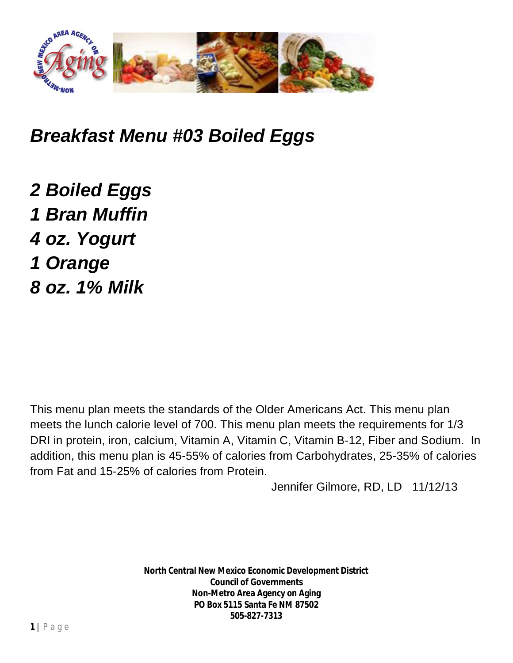

## *Breakfast Menu #03 Boiled Eggs*

*2 Boiled Eggs 1 Bran Muffin 4 oz. Yogurt 1 Orange 8 oz. 1% Milk*

This menu plan meets the standards of the Older Americans Act. This menu plan meets the lunch calorie level of 700. This menu plan meets the requirements for 1/3 DRI in protein, iron, calcium, Vitamin A, Vitamin C, Vitamin B-12, Fiber and Sodium. In addition, this menu plan is 45-55% of calories from Carbohydrates, 25-35% of calories from Fat and 15-25% of calories from Protein.

Jennifer Gilmore, RD, LD 11/12/13

**North Central New Mexico Economic Development District Council of Governments Non-Metro Area Agency on Aging PO Box 5115 Santa Fe NM 87502 505-827-7313**